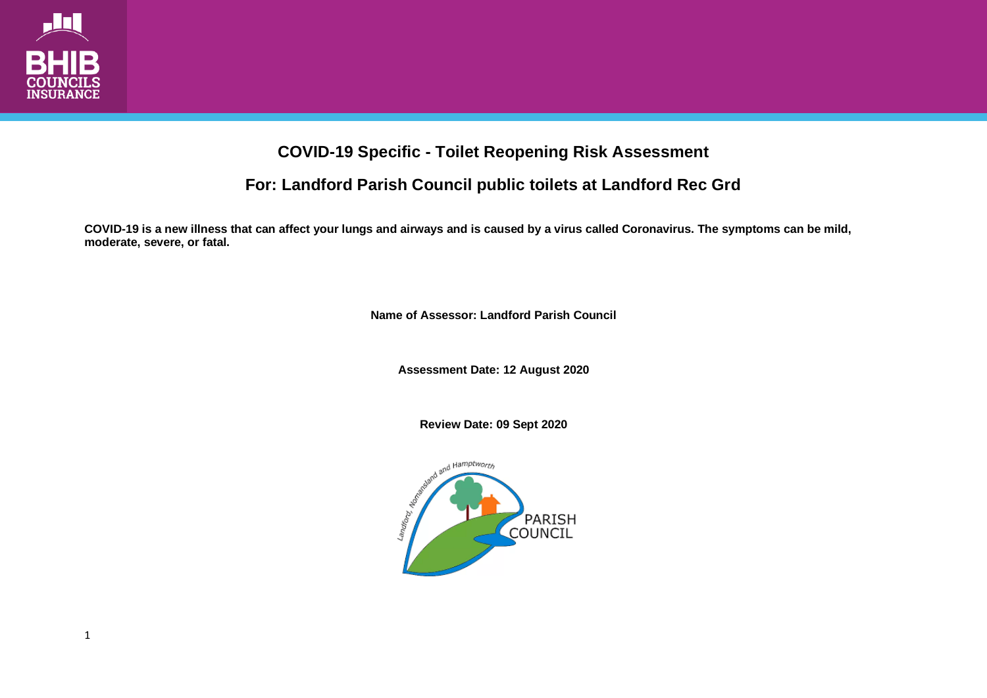

## **COVID-19 Specific - Toilet Reopening Risk Assessment**

## **For: Landford Parish Council public toilets at Landford Rec Grd**

**COVID-19 is a new illness that can affect your lungs and airways and is caused by a virus called Coronavirus. The symptoms can be mild, moderate, severe, or fatal.**

**Name of Assessor: Landford Parish Council**

**Assessment Date: 12 August 2020**

**Review Date: 09 Sept 2020**

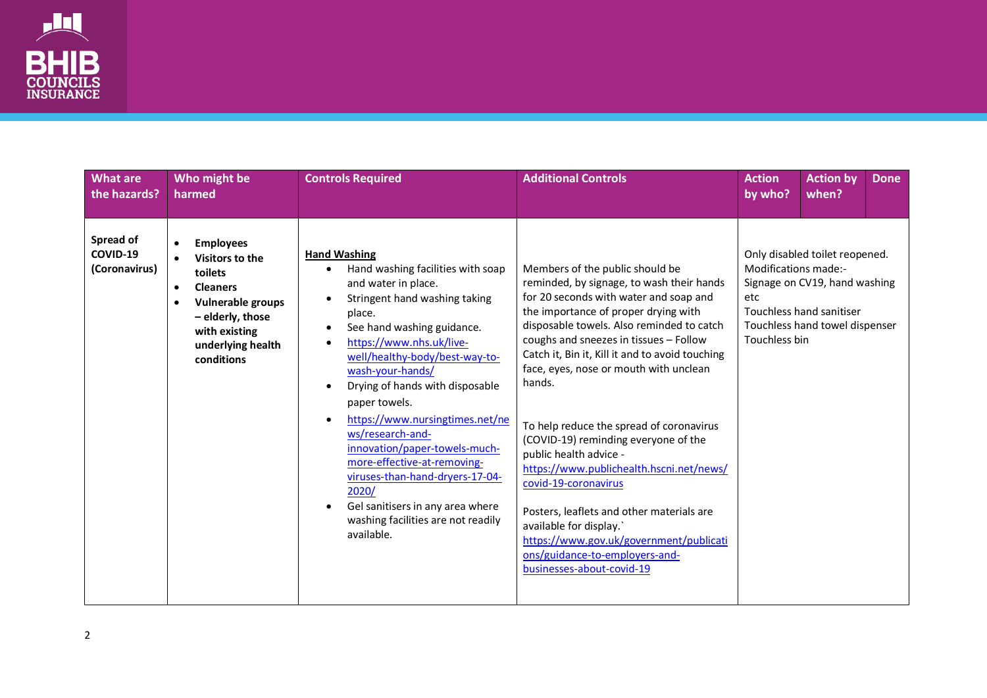

| <b>What are</b><br>the hazards?        | Who might be<br>harmed                                                                                                                                                                        | <b>Controls Required</b>                                                                                                                                                                                                                                                                                                                                                                                                                                                                                                                                  | <b>Additional Controls</b>                                                                                                                                                                                                                                                                                                                                                                                                                                                                                                                                                                                                                                                                                                       | <b>Action</b><br>by who?                     | <b>Action by</b><br>when?                                                                                                     | <b>Done</b> |
|----------------------------------------|-----------------------------------------------------------------------------------------------------------------------------------------------------------------------------------------------|-----------------------------------------------------------------------------------------------------------------------------------------------------------------------------------------------------------------------------------------------------------------------------------------------------------------------------------------------------------------------------------------------------------------------------------------------------------------------------------------------------------------------------------------------------------|----------------------------------------------------------------------------------------------------------------------------------------------------------------------------------------------------------------------------------------------------------------------------------------------------------------------------------------------------------------------------------------------------------------------------------------------------------------------------------------------------------------------------------------------------------------------------------------------------------------------------------------------------------------------------------------------------------------------------------|----------------------------------------------|-------------------------------------------------------------------------------------------------------------------------------|-------------|
| Spread of<br>COVID-19<br>(Coronavirus) | <b>Employees</b><br>$\bullet$<br>Visitors to the<br>toilets<br><b>Cleaners</b><br>$\bullet$<br>Vulnerable groups<br>٠<br>- elderly, those<br>with existing<br>underlying health<br>conditions | <b>Hand Washing</b><br>Hand washing facilities with soap<br>and water in place.<br>Stringent hand washing taking<br>place.<br>See hand washing guidance.<br>https://www.nhs.uk/live-<br>well/healthy-body/best-way-to-<br>wash-your-hands/<br>Drying of hands with disposable<br>paper towels.<br>https://www.nursingtimes.net/ne<br>ws/research-and-<br>innovation/paper-towels-much-<br>more-effective-at-removing-<br>viruses-than-hand-dryers-17-04-<br>2020/<br>Gel sanitisers in any area where<br>washing facilities are not readily<br>available. | Members of the public should be<br>reminded, by signage, to wash their hands<br>for 20 seconds with water and soap and<br>the importance of proper drying with<br>disposable towels. Also reminded to catch<br>coughs and sneezes in tissues - Follow<br>Catch it, Bin it, Kill it and to avoid touching<br>face, eyes, nose or mouth with unclean<br>hands.<br>To help reduce the spread of coronavirus<br>(COVID-19) reminding everyone of the<br>public health advice -<br>https://www.publichealth.hscni.net/news/<br>covid-19-coronavirus<br>Posters, leaflets and other materials are<br>available for display.'<br>https://www.gov.uk/government/publicati<br>ons/guidance-to-employers-and-<br>businesses-about-covid-19 | Modifications made:-<br>etc<br>Touchless bin | Only disabled toilet reopened.<br>Signage on CV19, hand washing<br>Touchless hand sanitiser<br>Touchless hand towel dispenser |             |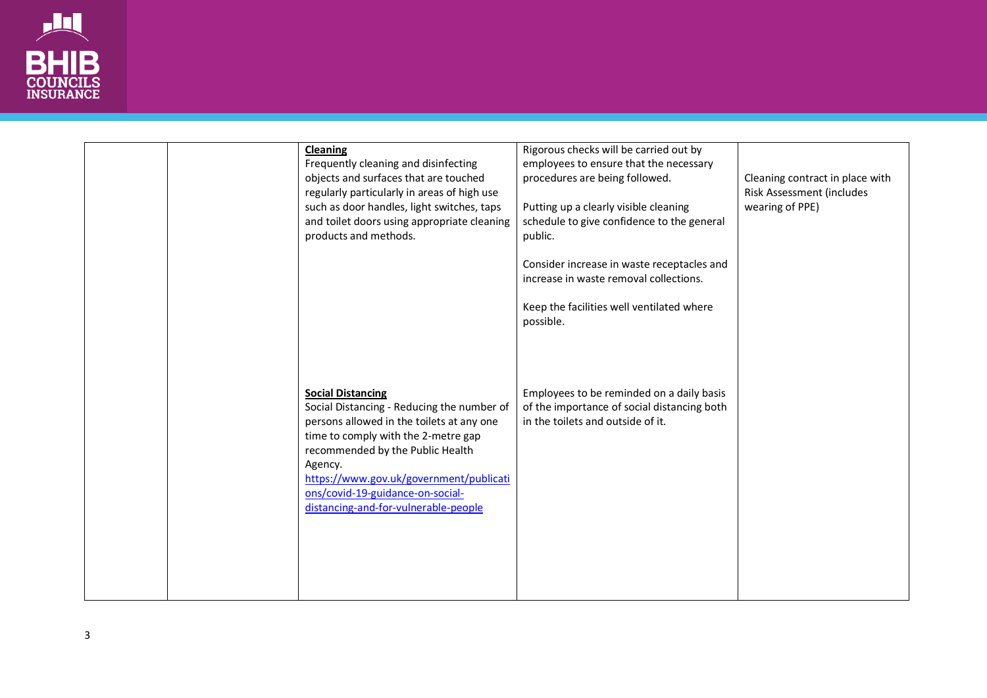

| <b>Cleaning</b><br>Frequently cleaning and disinfecting<br>objects and surfaces that are touched<br>regularly particularly in areas of high use<br>such as door handles, light switches, taps<br>and toilet doors using appropriate cleaning<br>products and methods.                                                            | Rigorous checks will be carried out by<br>employees to ensure that the necessary<br>procedures are being followed.<br>Putting up a clearly visible cleaning<br>schedule to give confidence to the general<br>public.<br>Consider increase in waste receptacles and<br>increase in waste removal collections.<br>Keep the facilities well ventilated where<br>possible. | Cleaning contract in place with<br>Risk Assessment (includes<br>wearing of PPE) |
|----------------------------------------------------------------------------------------------------------------------------------------------------------------------------------------------------------------------------------------------------------------------------------------------------------------------------------|------------------------------------------------------------------------------------------------------------------------------------------------------------------------------------------------------------------------------------------------------------------------------------------------------------------------------------------------------------------------|---------------------------------------------------------------------------------|
| <b>Social Distancing</b><br>Social Distancing - Reducing the number of<br>persons allowed in the toilets at any one<br>time to comply with the 2-metre gap<br>recommended by the Public Health<br>Agency.<br>https://www.gov.uk/government/publicati<br>ons/covid-19-guidance-on-social-<br>distancing-and-for-vulnerable-people | Employees to be reminded on a daily basis<br>of the importance of social distancing both<br>in the toilets and outside of it.                                                                                                                                                                                                                                          |                                                                                 |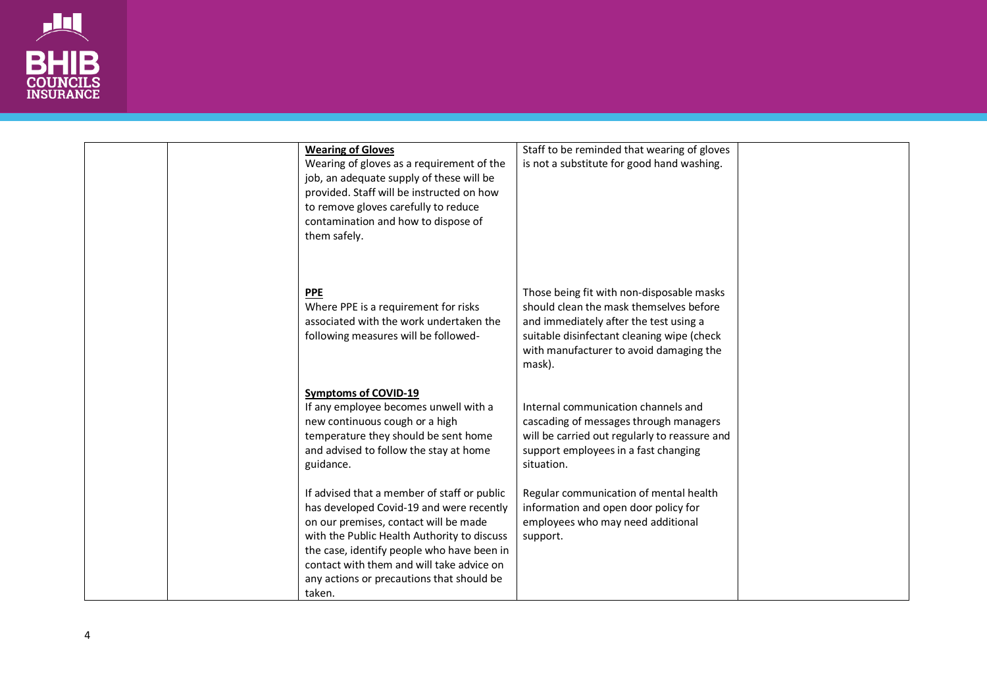

| <b>Wearing of Gloves</b>                                                                | Staff to be reminded that wearing of gloves                                    |  |
|-----------------------------------------------------------------------------------------|--------------------------------------------------------------------------------|--|
| Wearing of gloves as a requirement of the                                               | is not a substitute for good hand washing.                                     |  |
| job, an adequate supply of these will be                                                |                                                                                |  |
| provided. Staff will be instructed on how                                               |                                                                                |  |
| to remove gloves carefully to reduce                                                    |                                                                                |  |
| contamination and how to dispose of                                                     |                                                                                |  |
| them safely.                                                                            |                                                                                |  |
|                                                                                         |                                                                                |  |
|                                                                                         |                                                                                |  |
| <b>PPE</b>                                                                              | Those being fit with non-disposable masks                                      |  |
| Where PPE is a requirement for risks                                                    | should clean the mask themselves before                                        |  |
| associated with the work undertaken the                                                 | and immediately after the test using a                                         |  |
| following measures will be followed-                                                    | suitable disinfectant cleaning wipe (check                                     |  |
|                                                                                         | with manufacturer to avoid damaging the                                        |  |
|                                                                                         | mask).                                                                         |  |
|                                                                                         |                                                                                |  |
| <b>Symptoms of COVID-19</b>                                                             |                                                                                |  |
| If any employee becomes unwell with a                                                   | Internal communication channels and                                            |  |
| new continuous cough or a high                                                          | cascading of messages through managers                                         |  |
| temperature they should be sent home                                                    | will be carried out regularly to reassure and                                  |  |
| and advised to follow the stay at home                                                  | support employees in a fast changing                                           |  |
| guidance.                                                                               | situation.                                                                     |  |
|                                                                                         |                                                                                |  |
| If advised that a member of staff or public<br>has developed Covid-19 and were recently | Regular communication of mental health<br>information and open door policy for |  |
| on our premises, contact will be made                                                   | employees who may need additional                                              |  |
| with the Public Health Authority to discuss                                             | support.                                                                       |  |
| the case, identify people who have been in                                              |                                                                                |  |
| contact with them and will take advice on                                               |                                                                                |  |
| any actions or precautions that should be                                               |                                                                                |  |
| taken.                                                                                  |                                                                                |  |